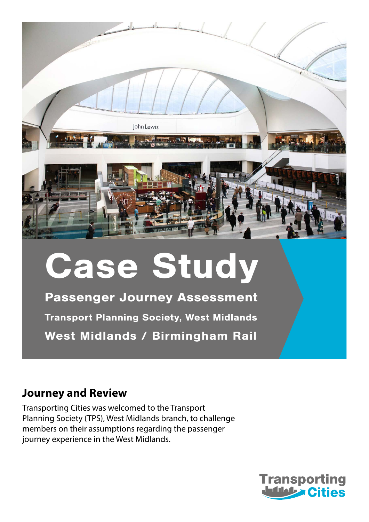

# Case Study

Passenger Journey Assessment Transport Planning Society, West Midlands West Midlands / Birmingham Rail

#### **Journey and Review**

Transporting Cities was welcomed to the Transport Planning Society (TPS), West Midlands branch, to challenge members on their assumptions regarding the passenger journey experience in the West Midlands.

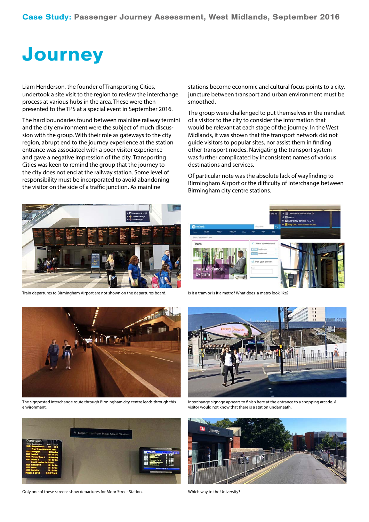## **Journey**

Liam Henderson, the founder of Transporting Cities, undertook a site visit to the region to review the interchange process at various hubs in the area. These were then presented to the TPS at a special event in September 2016.

The hard boundaries found between mainline railway termini and the city environment were the subject of much discussion with the group. With their role as gateways to the city region, abrupt end to the journey experience at the station entrance was associated with a poor visitor experience and gave a negative impression of the city. Transporting Cities was keen to remind the group that the journey to the city does not end at the railway station. Some level of responsibility must be incorporated to avoid abandoning the visitor on the side of a traffic junction. As mainline

stations become economic and cultural focus points to a city, juncture between transport and urban environment must be smoothed.

The group were challenged to put themselves in the mindset of a visitor to the city to consider the information that would be relevant at each stage of the journey. In the West Midlands, it was shown that the transport network did not guide visitors to popular sites, nor assist them in finding other transport modes. Navigating the transport system was further complicated by inconsistent names of various destinations and services.

Of particular note was the absolute lack of wayfinding to Birmingham Airport or the difficulty of interchange between Birmingham city centre stations.



Train departures to Birmingham Airport are not shown on the departures board. Is it a tram or is it a metro? What does a metro look like?



The signposted interchange route through Birmingham city centre leads through this environment.



Only one of these screens show departures for Moor Street Station. Which way to the University?





Interchange signage appears to finish here at the entrance to a shopping arcade. A visitor would not know that there is a station underneath.